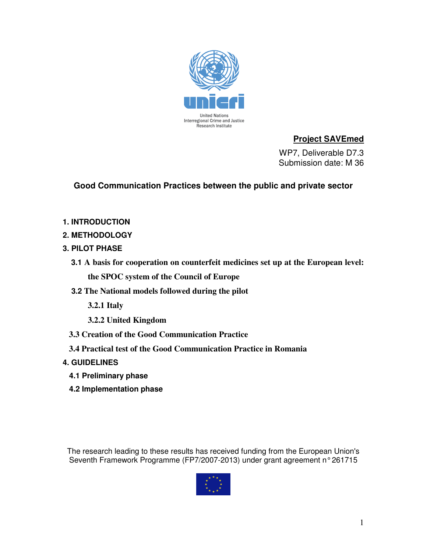

# **Project SAVEmed**

 WP7, Deliverable D7.3 Submission date: M 36

# **Good Communication Practices between the public and private sector**

- **1. INTRODUCTION**
- **2. METHODOLOGY**
- **3. PILOT PHASE** 
	- **3.1 A basis for cooperation on counterfeit medicines set up at the European level:**

**the SPOC system of the Council of Europe** 

- **3.2 The National models followed during the pilot** 
	- **3.2.1 Italy**
	- **3.2.2 United Kingdom**
- **3.3 Creation of the Good Communication Practice**
- **3.4 Practical test of the Good Communication Practice in Romania**
- **4. GUIDELINES** 
	- **4.1 Preliminary phase**
	- **4.2 Implementation phase**

The research leading to these results has received funding from the European Union's Seventh Framework Programme (FP7/2007-2013) under grant agreement n° 261715

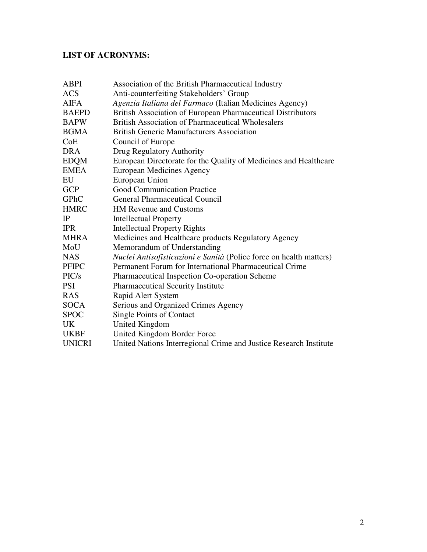# **LIST OF ACRONYMS:**

| <b>ABPI</b>   | Association of the British Pharmaceutical Industry                  |
|---------------|---------------------------------------------------------------------|
| <b>ACS</b>    | Anti-counterfeiting Stakeholders' Group                             |
| <b>AIFA</b>   | Agenzia Italiana del Farmaco (Italian Medicines Agency)             |
| <b>BAEPD</b>  | British Association of European Pharmaceutical Distributors         |
| <b>BAPW</b>   | <b>British Association of Pharmaceutical Wholesalers</b>            |
| <b>BGMA</b>   | <b>British Generic Manufacturers Association</b>                    |
| CoE           | Council of Europe                                                   |
| <b>DRA</b>    | Drug Regulatory Authority                                           |
| <b>EDQM</b>   | European Directorate for the Quality of Medicines and Healthcare    |
| <b>EMEA</b>   | <b>European Medicines Agency</b>                                    |
| EU            | European Union                                                      |
| <b>GCP</b>    | <b>Good Communication Practice</b>                                  |
| GPhC          | <b>General Pharmaceutical Council</b>                               |
| <b>HMRC</b>   | <b>HM Revenue and Customs</b>                                       |
| IP            | <b>Intellectual Property</b>                                        |
| <b>IPR</b>    | <b>Intellectual Property Rights</b>                                 |
| <b>MHRA</b>   | Medicines and Healthcare products Regulatory Agency                 |
| MoU           | Memorandum of Understanding                                         |
| <b>NAS</b>    | Nuclei Antisofisticazioni e Sanità (Police force on health matters) |
| <b>PFIPC</b>  | Permanent Forum for International Pharmaceutical Crime              |
| PIC/s         | Pharmaceutical Inspection Co-operation Scheme                       |
| <b>PSI</b>    | Pharmaceutical Security Institute                                   |
| <b>RAS</b>    | Rapid Alert System                                                  |
| <b>SOCA</b>   | Serious and Organized Crimes Agency                                 |
| <b>SPOC</b>   | Single Points of Contact                                            |
| <b>UK</b>     | <b>United Kingdom</b>                                               |
| <b>UKBF</b>   | United Kingdom Border Force                                         |
| <b>UNICRI</b> | United Nations Interregional Crime and Justice Research Institute   |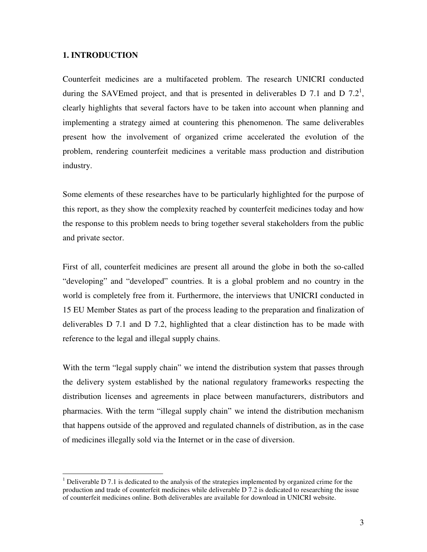## **1. INTRODUCTION**

 $\overline{a}$ 

Counterfeit medicines are a multifaceted problem. The research UNICRI conducted during the SAVE med project, and that is presented in deliverables  $D$  7.1 and  $D$  7.2<sup>1</sup>, clearly highlights that several factors have to be taken into account when planning and implementing a strategy aimed at countering this phenomenon. The same deliverables present how the involvement of organized crime accelerated the evolution of the problem, rendering counterfeit medicines a veritable mass production and distribution industry.

Some elements of these researches have to be particularly highlighted for the purpose of this report, as they show the complexity reached by counterfeit medicines today and how the response to this problem needs to bring together several stakeholders from the public and private sector.

First of all, counterfeit medicines are present all around the globe in both the so-called "developing" and "developed" countries. It is a global problem and no country in the world is completely free from it. Furthermore, the interviews that UNICRI conducted in 15 EU Member States as part of the process leading to the preparation and finalization of deliverables D 7.1 and D 7.2, highlighted that a clear distinction has to be made with reference to the legal and illegal supply chains.

With the term "legal supply chain" we intend the distribution system that passes through the delivery system established by the national regulatory frameworks respecting the distribution licenses and agreements in place between manufacturers, distributors and pharmacies. With the term "illegal supply chain" we intend the distribution mechanism that happens outside of the approved and regulated channels of distribution, as in the case of medicines illegally sold via the Internet or in the case of diversion.

 $1$  Deliverable D 7.1 is dedicated to the analysis of the strategies implemented by organized crime for the production and trade of counterfeit medicines while deliverable D 7.2 is dedicated to researching the issue of counterfeit medicines online. Both deliverables are available for download in UNICRI website.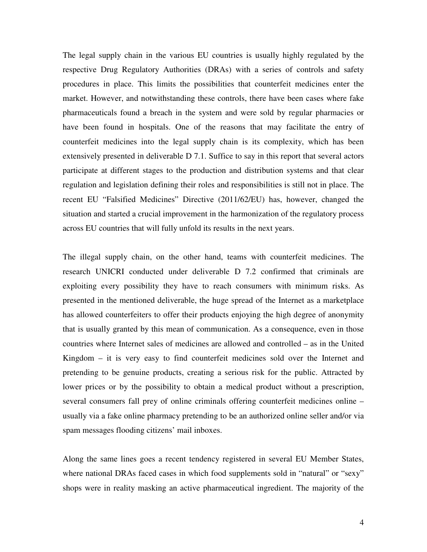The legal supply chain in the various EU countries is usually highly regulated by the respective Drug Regulatory Authorities (DRAs) with a series of controls and safety procedures in place. This limits the possibilities that counterfeit medicines enter the market. However, and notwithstanding these controls, there have been cases where fake pharmaceuticals found a breach in the system and were sold by regular pharmacies or have been found in hospitals. One of the reasons that may facilitate the entry of counterfeit medicines into the legal supply chain is its complexity, which has been extensively presented in deliverable D 7.1. Suffice to say in this report that several actors participate at different stages to the production and distribution systems and that clear regulation and legislation defining their roles and responsibilities is still not in place. The recent EU "Falsified Medicines" Directive (2011/62/EU) has, however, changed the situation and started a crucial improvement in the harmonization of the regulatory process across EU countries that will fully unfold its results in the next years.

The illegal supply chain, on the other hand, teams with counterfeit medicines. The research UNICRI conducted under deliverable D 7.2 confirmed that criminals are exploiting every possibility they have to reach consumers with minimum risks. As presented in the mentioned deliverable, the huge spread of the Internet as a marketplace has allowed counterfeiters to offer their products enjoying the high degree of anonymity that is usually granted by this mean of communication. As a consequence, even in those countries where Internet sales of medicines are allowed and controlled – as in the United Kingdom – it is very easy to find counterfeit medicines sold over the Internet and pretending to be genuine products, creating a serious risk for the public. Attracted by lower prices or by the possibility to obtain a medical product without a prescription, several consumers fall prey of online criminals offering counterfeit medicines online – usually via a fake online pharmacy pretending to be an authorized online seller and/or via spam messages flooding citizens' mail inboxes.

Along the same lines goes a recent tendency registered in several EU Member States, where national DRAs faced cases in which food supplements sold in "natural" or "sexy" shops were in reality masking an active pharmaceutical ingredient. The majority of the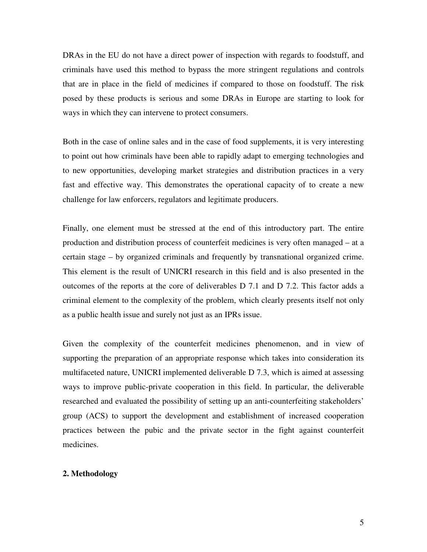DRAs in the EU do not have a direct power of inspection with regards to foodstuff, and criminals have used this method to bypass the more stringent regulations and controls that are in place in the field of medicines if compared to those on foodstuff. The risk posed by these products is serious and some DRAs in Europe are starting to look for ways in which they can intervene to protect consumers.

Both in the case of online sales and in the case of food supplements, it is very interesting to point out how criminals have been able to rapidly adapt to emerging technologies and to new opportunities, developing market strategies and distribution practices in a very fast and effective way. This demonstrates the operational capacity of to create a new challenge for law enforcers, regulators and legitimate producers.

Finally, one element must be stressed at the end of this introductory part. The entire production and distribution process of counterfeit medicines is very often managed – at a certain stage – by organized criminals and frequently by transnational organized crime. This element is the result of UNICRI research in this field and is also presented in the outcomes of the reports at the core of deliverables D 7.1 and D 7.2. This factor adds a criminal element to the complexity of the problem, which clearly presents itself not only as a public health issue and surely not just as an IPRs issue.

Given the complexity of the counterfeit medicines phenomenon, and in view of supporting the preparation of an appropriate response which takes into consideration its multifaceted nature, UNICRI implemented deliverable D 7.3, which is aimed at assessing ways to improve public-private cooperation in this field. In particular, the deliverable researched and evaluated the possibility of setting up an anti-counterfeiting stakeholders' group (ACS) to support the development and establishment of increased cooperation practices between the pubic and the private sector in the fight against counterfeit medicines.

#### **2. Methodology**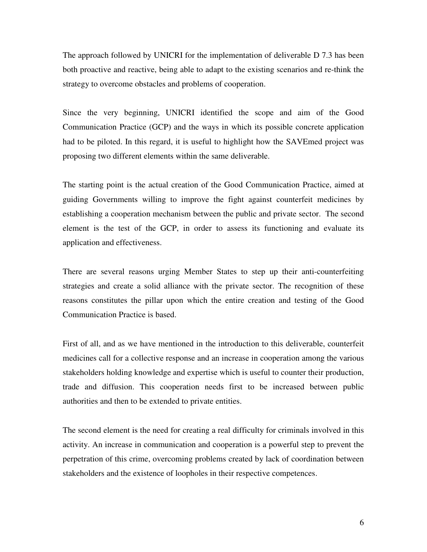The approach followed by UNICRI for the implementation of deliverable D 7.3 has been both proactive and reactive, being able to adapt to the existing scenarios and re-think the strategy to overcome obstacles and problems of cooperation.

Since the very beginning, UNICRI identified the scope and aim of the Good Communication Practice (GCP) and the ways in which its possible concrete application had to be piloted. In this regard, it is useful to highlight how the SAVEmed project was proposing two different elements within the same deliverable.

The starting point is the actual creation of the Good Communication Practice, aimed at guiding Governments willing to improve the fight against counterfeit medicines by establishing a cooperation mechanism between the public and private sector. The second element is the test of the GCP, in order to assess its functioning and evaluate its application and effectiveness.

There are several reasons urging Member States to step up their anti-counterfeiting strategies and create a solid alliance with the private sector. The recognition of these reasons constitutes the pillar upon which the entire creation and testing of the Good Communication Practice is based.

First of all, and as we have mentioned in the introduction to this deliverable, counterfeit medicines call for a collective response and an increase in cooperation among the various stakeholders holding knowledge and expertise which is useful to counter their production, trade and diffusion. This cooperation needs first to be increased between public authorities and then to be extended to private entities.

The second element is the need for creating a real difficulty for criminals involved in this activity. An increase in communication and cooperation is a powerful step to prevent the perpetration of this crime, overcoming problems created by lack of coordination between stakeholders and the existence of loopholes in their respective competences.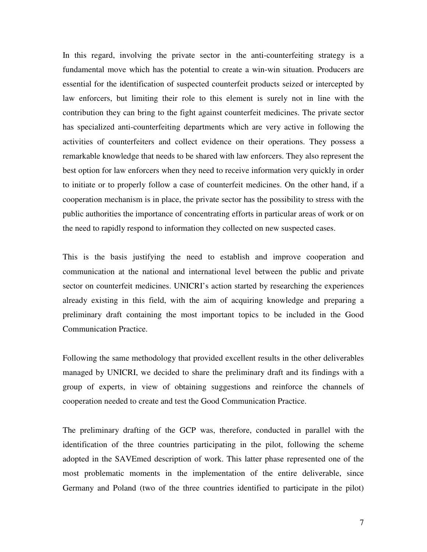In this regard, involving the private sector in the anti-counterfeiting strategy is a fundamental move which has the potential to create a win-win situation. Producers are essential for the identification of suspected counterfeit products seized or intercepted by law enforcers, but limiting their role to this element is surely not in line with the contribution they can bring to the fight against counterfeit medicines. The private sector has specialized anti-counterfeiting departments which are very active in following the activities of counterfeiters and collect evidence on their operations. They possess a remarkable knowledge that needs to be shared with law enforcers. They also represent the best option for law enforcers when they need to receive information very quickly in order to initiate or to properly follow a case of counterfeit medicines. On the other hand, if a cooperation mechanism is in place, the private sector has the possibility to stress with the public authorities the importance of concentrating efforts in particular areas of work or on the need to rapidly respond to information they collected on new suspected cases.

This is the basis justifying the need to establish and improve cooperation and communication at the national and international level between the public and private sector on counterfeit medicines. UNICRI's action started by researching the experiences already existing in this field, with the aim of acquiring knowledge and preparing a preliminary draft containing the most important topics to be included in the Good Communication Practice.

Following the same methodology that provided excellent results in the other deliverables managed by UNICRI, we decided to share the preliminary draft and its findings with a group of experts, in view of obtaining suggestions and reinforce the channels of cooperation needed to create and test the Good Communication Practice.

The preliminary drafting of the GCP was, therefore, conducted in parallel with the identification of the three countries participating in the pilot, following the scheme adopted in the SAVEmed description of work. This latter phase represented one of the most problematic moments in the implementation of the entire deliverable, since Germany and Poland (two of the three countries identified to participate in the pilot)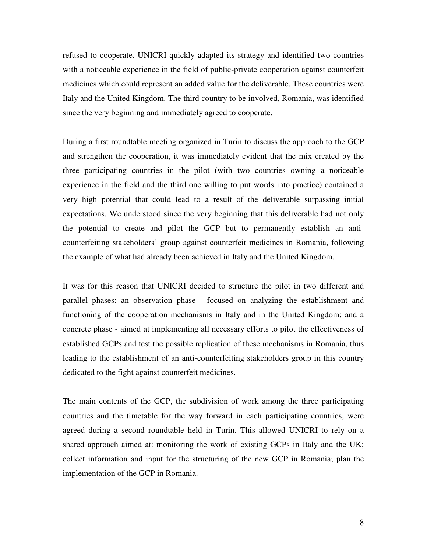refused to cooperate. UNICRI quickly adapted its strategy and identified two countries with a noticeable experience in the field of public-private cooperation against counterfeit medicines which could represent an added value for the deliverable. These countries were Italy and the United Kingdom. The third country to be involved, Romania, was identified since the very beginning and immediately agreed to cooperate.

During a first roundtable meeting organized in Turin to discuss the approach to the GCP and strengthen the cooperation, it was immediately evident that the mix created by the three participating countries in the pilot (with two countries owning a noticeable experience in the field and the third one willing to put words into practice) contained a very high potential that could lead to a result of the deliverable surpassing initial expectations. We understood since the very beginning that this deliverable had not only the potential to create and pilot the GCP but to permanently establish an anticounterfeiting stakeholders' group against counterfeit medicines in Romania, following the example of what had already been achieved in Italy and the United Kingdom.

It was for this reason that UNICRI decided to structure the pilot in two different and parallel phases: an observation phase - focused on analyzing the establishment and functioning of the cooperation mechanisms in Italy and in the United Kingdom; and a concrete phase - aimed at implementing all necessary efforts to pilot the effectiveness of established GCPs and test the possible replication of these mechanisms in Romania, thus leading to the establishment of an anti-counterfeiting stakeholders group in this country dedicated to the fight against counterfeit medicines.

The main contents of the GCP, the subdivision of work among the three participating countries and the timetable for the way forward in each participating countries, were agreed during a second roundtable held in Turin. This allowed UNICRI to rely on a shared approach aimed at: monitoring the work of existing GCPs in Italy and the UK; collect information and input for the structuring of the new GCP in Romania; plan the implementation of the GCP in Romania.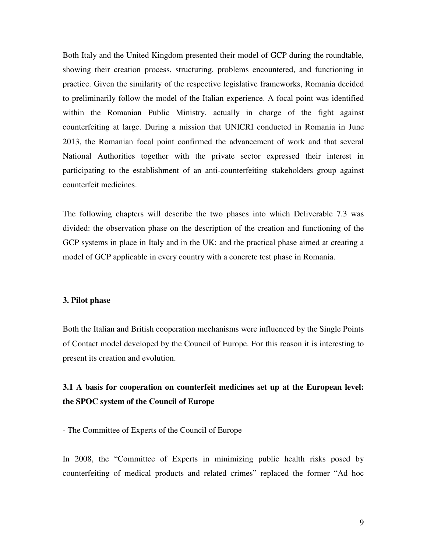Both Italy and the United Kingdom presented their model of GCP during the roundtable, showing their creation process, structuring, problems encountered, and functioning in practice. Given the similarity of the respective legislative frameworks, Romania decided to preliminarily follow the model of the Italian experience. A focal point was identified within the Romanian Public Ministry, actually in charge of the fight against counterfeiting at large. During a mission that UNICRI conducted in Romania in June 2013, the Romanian focal point confirmed the advancement of work and that several National Authorities together with the private sector expressed their interest in participating to the establishment of an anti-counterfeiting stakeholders group against counterfeit medicines.

The following chapters will describe the two phases into which Deliverable 7.3 was divided: the observation phase on the description of the creation and functioning of the GCP systems in place in Italy and in the UK; and the practical phase aimed at creating a model of GCP applicable in every country with a concrete test phase in Romania.

#### **3. Pilot phase**

Both the Italian and British cooperation mechanisms were influenced by the Single Points of Contact model developed by the Council of Europe. For this reason it is interesting to present its creation and evolution.

# **3.1 A basis for cooperation on counterfeit medicines set up at the European level: the SPOC system of the Council of Europe**

#### - The Committee of Experts of the Council of Europe

In 2008, the "Committee of Experts in minimizing public health risks posed by counterfeiting of medical products and related crimes" replaced the former "Ad hoc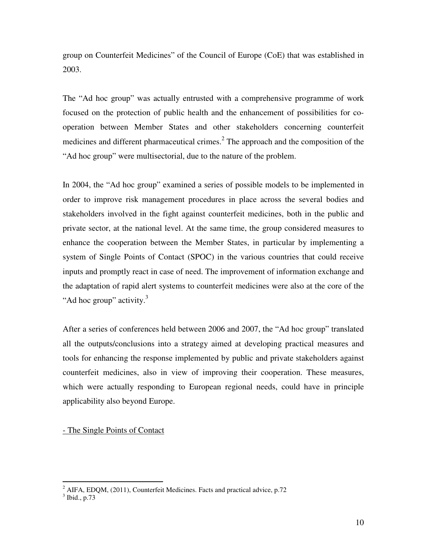group on Counterfeit Medicines" of the Council of Europe (CoE) that was established in 2003.

The "Ad hoc group" was actually entrusted with a comprehensive programme of work focused on the protection of public health and the enhancement of possibilities for cooperation between Member States and other stakeholders concerning counterfeit medicines and different pharmaceutical crimes.<sup>2</sup> The approach and the composition of the "Ad hoc group" were multisectorial, due to the nature of the problem.

In 2004, the "Ad hoc group" examined a series of possible models to be implemented in order to improve risk management procedures in place across the several bodies and stakeholders involved in the fight against counterfeit medicines, both in the public and private sector, at the national level. At the same time, the group considered measures to enhance the cooperation between the Member States, in particular by implementing a system of Single Points of Contact (SPOC) in the various countries that could receive inputs and promptly react in case of need. The improvement of information exchange and the adaptation of rapid alert systems to counterfeit medicines were also at the core of the "Ad hoc group" activity.<sup>3</sup>

After a series of conferences held between 2006 and 2007, the "Ad hoc group" translated all the outputs/conclusions into a strategy aimed at developing practical measures and tools for enhancing the response implemented by public and private stakeholders against counterfeit medicines, also in view of improving their cooperation. These measures, which were actually responding to European regional needs, could have in principle applicability also beyond Europe.

- The Single Points of Contact

<sup>&</sup>lt;sup>2</sup> AIFA, EDQM, (2011), Counterfeit Medicines. Facts and practical advice, p.72

<sup>3</sup> Ibid., p.73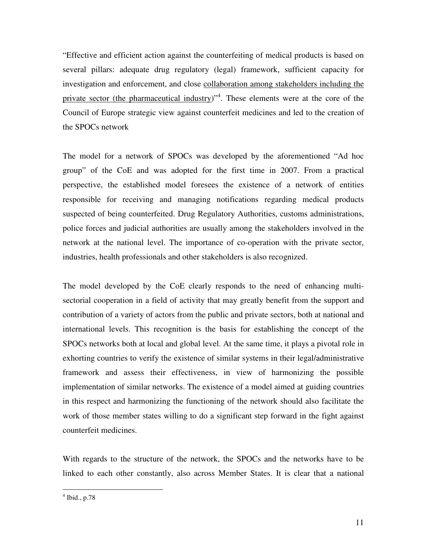"Effective and efficient action against the counterfeiting of medical products is based on several pillars: adequate drug regulatory (legal) framework, sufficient capacity for investigation and enforcement, and close collaboration among stakeholders including the private sector (the pharmaceutical industry)<sup>4</sup>. These elements were at the core of the Council of Europe strategic view against counterfeit medicines and led to the creation of the SPOCs network

The model for a network of SPOCs was developed by the aforementioned "Ad hoc group" of the CoE and was adopted for the first time in 2007. From a practical perspective, the established model foresees the existence of a network of entities responsible for receiving and managing notifications regarding medical products suspected of being counterfeited. Drug Regulatory Authorities, customs administrations, police forces and judicial authorities are usually among the stakeholders involved in the network at the national level. The importance of co-operation with the private sector, industries, health professionals and other stakeholders is also recognized.

The model developed by the CoE clearly responds to the need of enhancing multisectorial cooperation in a field of activity that may greatly benefit from the support and contribution of a variety of actors from the public and private sectors, both at national and international levels. This recognition is the basis for establishing the concept of the SPOCs networks both at local and global level. At the same time, it plays a pivotal role in exhorting countries to verify the existence of similar systems in their legal/administrative framework and assess their effectiveness, in view of harmonizing the possible implementation of similar networks. The existence of a model aimed at guiding countries in this respect and harmonizing the functioning of the network should also facilitate the work of those member states willing to do a significant step forward in the fight against counterfeit medicines.

With regards to the structure of the network, the SPOCs and the networks have to be linked to each other constantly, also across Member States. It is clear that a national

l

<sup>4</sup> Ibid., p.78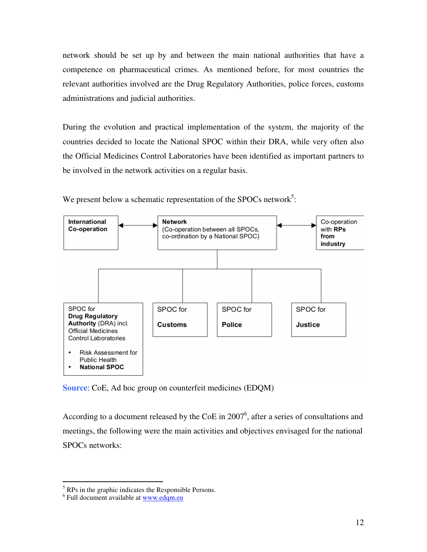network should be set up by and between the main national authorities that have a competence on pharmaceutical crimes. As mentioned before, for most countries the relevant authorities involved are the Drug Regulatory Authorities, police forces, customs administrations and judicial authorities.

During the evolution and practical implementation of the system, the majority of the countries decided to locate the National SPOC within their DRA, while very often also the Official Medicines Control Laboratories have been identified as important partners to be involved in the network activities on a regular basis.



We present below a schematic representation of the SPOCs network<sup>5</sup>:

**Source**: CoE, Ad hoc group on counterfeit medicines (EDQM)

According to a document released by the CoE in  $2007<sup>6</sup>$ , after a series of consultations and meetings, the following were the main activities and objectives envisaged for the national SPOCs networks:

<sup>&</sup>lt;sup>5</sup> RPs in the graphic indicates the Responsible Persons.

<sup>&</sup>lt;sup>6</sup> Full document available at www.edqm.eu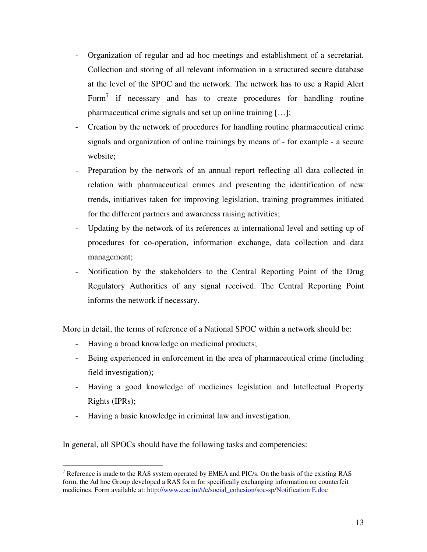- Organization of regular and ad hoc meetings and establishment of a secretariat. Collection and storing of all relevant information in a structured secure database at the level of the SPOC and the network. The network has to use a Rapid Alert Form<sup>7</sup> if necessary and has to create procedures for handling routine pharmaceutical crime signals and set up online training […];
- Creation by the network of procedures for handling routine pharmaceutical crime signals and organization of online trainings by means of - for example - a secure website;
- Preparation by the network of an annual report reflecting all data collected in relation with pharmaceutical crimes and presenting the identification of new trends, initiatives taken for improving legislation, training programmes initiated for the different partners and awareness raising activities;
- Updating by the network of its references at international level and setting up of procedures for co-operation, information exchange, data collection and data management;
- Notification by the stakeholders to the Central Reporting Point of the Drug Regulatory Authorities of any signal received. The Central Reporting Point informs the network if necessary.

More in detail, the terms of reference of a National SPOC within a network should be:

- Having a broad knowledge on medicinal products;
- Being experienced in enforcement in the area of pharmaceutical crime (including field investigation);
- Having a good knowledge of medicines legislation and Intellectual Property Rights (IPRs);
- Having a basic knowledge in criminal law and investigation.

In general, all SPOCs should have the following tasks and competencies:

 $\overline{a}$ <sup>7</sup> Reference is made to the RAS system operated by EMEA and PIC/s. On the basis of the existing RAS form, the Ad hoc Group developed a RAS form for specifically exchanging information on counterfeit medicines. Form available at: http://www.coe.int/t/e/social\_cohesion/soc-sp/Notification E.doc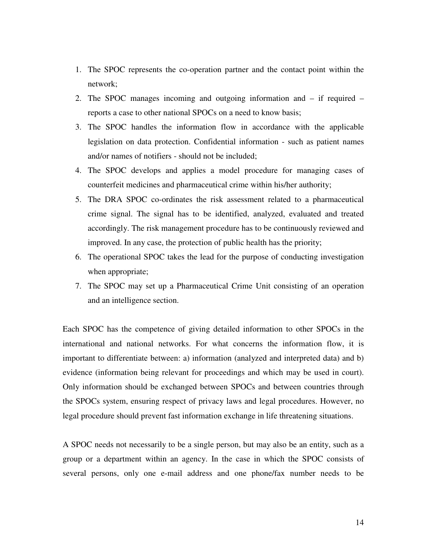- 1. The SPOC represents the co-operation partner and the contact point within the network;
- 2. The SPOC manages incoming and outgoing information and if required reports a case to other national SPOCs on a need to know basis;
- 3. The SPOC handles the information flow in accordance with the applicable legislation on data protection. Confidential information - such as patient names and/or names of notifiers - should not be included;
- 4. The SPOC develops and applies a model procedure for managing cases of counterfeit medicines and pharmaceutical crime within his/her authority;
- 5. The DRA SPOC co-ordinates the risk assessment related to a pharmaceutical crime signal. The signal has to be identified, analyzed, evaluated and treated accordingly. The risk management procedure has to be continuously reviewed and improved. In any case, the protection of public health has the priority;
- 6. The operational SPOC takes the lead for the purpose of conducting investigation when appropriate;
- 7. The SPOC may set up a Pharmaceutical Crime Unit consisting of an operation and an intelligence section.

Each SPOC has the competence of giving detailed information to other SPOCs in the international and national networks. For what concerns the information flow, it is important to differentiate between: a) information (analyzed and interpreted data) and b) evidence (information being relevant for proceedings and which may be used in court). Only information should be exchanged between SPOCs and between countries through the SPOCs system, ensuring respect of privacy laws and legal procedures. However, no legal procedure should prevent fast information exchange in life threatening situations.

A SPOC needs not necessarily to be a single person, but may also be an entity, such as a group or a department within an agency. In the case in which the SPOC consists of several persons, only one e-mail address and one phone/fax number needs to be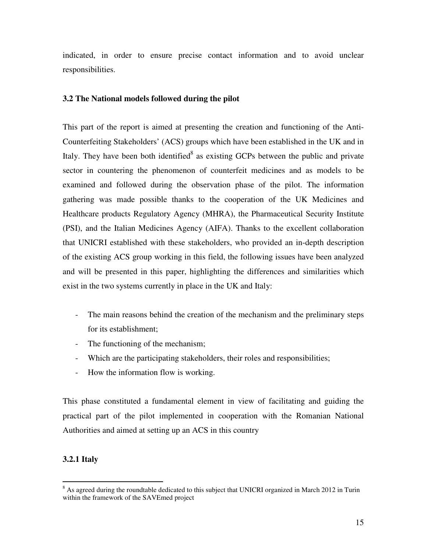indicated, in order to ensure precise contact information and to avoid unclear responsibilities.

#### **3.2 The National models followed during the pilot**

This part of the report is aimed at presenting the creation and functioning of the Anti-Counterfeiting Stakeholders' (ACS) groups which have been established in the UK and in Italy. They have been both identified<sup>8</sup> as existing GCPs between the public and private sector in countering the phenomenon of counterfeit medicines and as models to be examined and followed during the observation phase of the pilot. The information gathering was made possible thanks to the cooperation of the UK Medicines and Healthcare products Regulatory Agency (MHRA), the Pharmaceutical Security Institute (PSI), and the Italian Medicines Agency (AIFA). Thanks to the excellent collaboration that UNICRI established with these stakeholders, who provided an in-depth description of the existing ACS group working in this field, the following issues have been analyzed and will be presented in this paper, highlighting the differences and similarities which exist in the two systems currently in place in the UK and Italy:

- The main reasons behind the creation of the mechanism and the preliminary steps for its establishment;
- The functioning of the mechanism;
- Which are the participating stakeholders, their roles and responsibilities;
- How the information flow is working.

This phase constituted a fundamental element in view of facilitating and guiding the practical part of the pilot implemented in cooperation with the Romanian National Authorities and aimed at setting up an ACS in this country

## **3.2.1 Italy**

<sup>&</sup>lt;sup>8</sup> As agreed during the roundtable dedicated to this subject that UNICRI organized in March 2012 in Turin within the framework of the SAVEmed project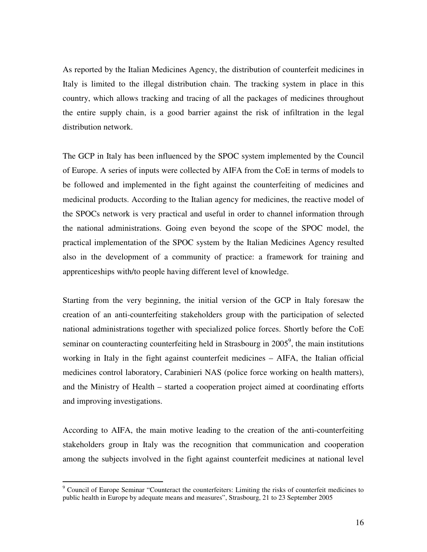As reported by the Italian Medicines Agency, the distribution of counterfeit medicines in Italy is limited to the illegal distribution chain. The tracking system in place in this country, which allows tracking and tracing of all the packages of medicines throughout the entire supply chain, is a good barrier against the risk of infiltration in the legal distribution network.

The GCP in Italy has been influenced by the SPOC system implemented by the Council of Europe. A series of inputs were collected by AIFA from the CoE in terms of models to be followed and implemented in the fight against the counterfeiting of medicines and medicinal products. According to the Italian agency for medicines, the reactive model of the SPOCs network is very practical and useful in order to channel information through the national administrations. Going even beyond the scope of the SPOC model, the practical implementation of the SPOC system by the Italian Medicines Agency resulted also in the development of a community of practice: a framework for training and apprenticeships with/to people having different level of knowledge.

Starting from the very beginning, the initial version of the GCP in Italy foresaw the creation of an anti-counterfeiting stakeholders group with the participation of selected national administrations together with specialized police forces. Shortly before the CoE seminar on counteracting counterfeiting held in Strasbourg in  $2005^{\circ}$ , the main institutions working in Italy in the fight against counterfeit medicines – AIFA, the Italian official medicines control laboratory, Carabinieri NAS (police force working on health matters), and the Ministry of Health – started a cooperation project aimed at coordinating efforts and improving investigations.

According to AIFA, the main motive leading to the creation of the anti-counterfeiting stakeholders group in Italy was the recognition that communication and cooperation among the subjects involved in the fight against counterfeit medicines at national level

<sup>&</sup>lt;sup>9</sup> Council of Europe Seminar "Counteract the counterfeiters: Limiting the risks of counterfeit medicines to public health in Europe by adequate means and measures", Strasbourg, 21 to 23 September 2005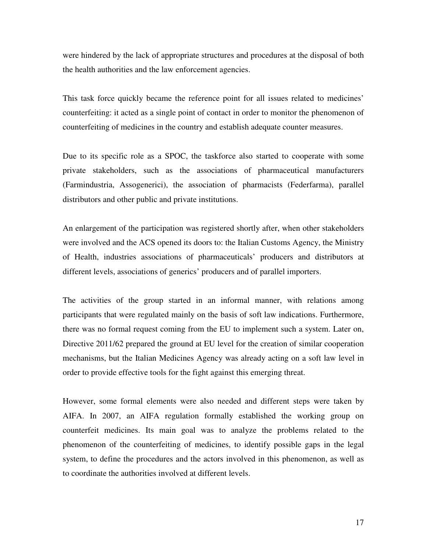were hindered by the lack of appropriate structures and procedures at the disposal of both the health authorities and the law enforcement agencies.

This task force quickly became the reference point for all issues related to medicines' counterfeiting: it acted as a single point of contact in order to monitor the phenomenon of counterfeiting of medicines in the country and establish adequate counter measures.

Due to its specific role as a SPOC, the taskforce also started to cooperate with some private stakeholders, such as the associations of pharmaceutical manufacturers (Farmindustria, Assogenerici), the association of pharmacists (Federfarma), parallel distributors and other public and private institutions.

An enlargement of the participation was registered shortly after, when other stakeholders were involved and the ACS opened its doors to: the Italian Customs Agency, the Ministry of Health, industries associations of pharmaceuticals' producers and distributors at different levels, associations of generics' producers and of parallel importers.

The activities of the group started in an informal manner, with relations among participants that were regulated mainly on the basis of soft law indications. Furthermore, there was no formal request coming from the EU to implement such a system. Later on, Directive 2011/62 prepared the ground at EU level for the creation of similar cooperation mechanisms, but the Italian Medicines Agency was already acting on a soft law level in order to provide effective tools for the fight against this emerging threat.

However, some formal elements were also needed and different steps were taken by AIFA. In 2007, an AIFA regulation formally established the working group on counterfeit medicines. Its main goal was to analyze the problems related to the phenomenon of the counterfeiting of medicines, to identify possible gaps in the legal system, to define the procedures and the actors involved in this phenomenon, as well as to coordinate the authorities involved at different levels.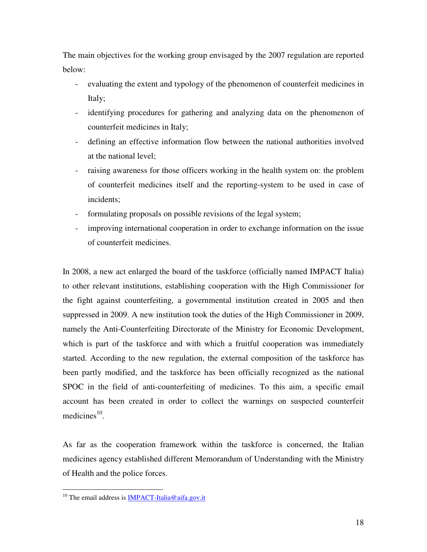The main objectives for the working group envisaged by the 2007 regulation are reported below:

- evaluating the extent and typology of the phenomenon of counterfeit medicines in Italy;
- identifying procedures for gathering and analyzing data on the phenomenon of counterfeit medicines in Italy;
- defining an effective information flow between the national authorities involved at the national level;
- raising awareness for those officers working in the health system on: the problem of counterfeit medicines itself and the reporting-system to be used in case of incidents;
- formulating proposals on possible revisions of the legal system;
- improving international cooperation in order to exchange information on the issue of counterfeit medicines.

In 2008, a new act enlarged the board of the taskforce (officially named IMPACT Italia) to other relevant institutions, establishing cooperation with the High Commissioner for the fight against counterfeiting, a governmental institution created in 2005 and then suppressed in 2009. A new institution took the duties of the High Commissioner in 2009, namely the Anti-Counterfeiting Directorate of the Ministry for Economic Development, which is part of the taskforce and with which a fruitful cooperation was immediately started. According to the new regulation, the external composition of the taskforce has been partly modified, and the taskforce has been officially recognized as the national SPOC in the field of anti-counterfeiting of medicines. To this aim, a specific email account has been created in order to collect the warnings on suspected counterfeit medicines $^{10}$ .

As far as the cooperation framework within the taskforce is concerned, the Italian medicines agency established different Memorandum of Understanding with the Ministry of Health and the police forces.

l

<sup>&</sup>lt;sup>10</sup> The email address is  $IMPACT-Italia@aifa.gov.it$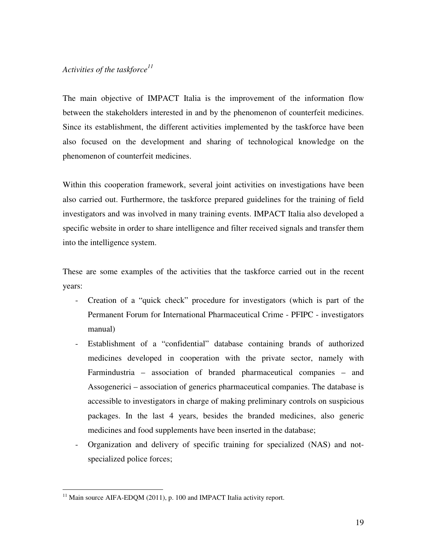# *Activities of the taskforce<sup>11</sup>*

The main objective of IMPACT Italia is the improvement of the information flow between the stakeholders interested in and by the phenomenon of counterfeit medicines. Since its establishment, the different activities implemented by the taskforce have been also focused on the development and sharing of technological knowledge on the phenomenon of counterfeit medicines.

Within this cooperation framework, several joint activities on investigations have been also carried out. Furthermore, the taskforce prepared guidelines for the training of field investigators and was involved in many training events. IMPACT Italia also developed a specific website in order to share intelligence and filter received signals and transfer them into the intelligence system.

These are some examples of the activities that the taskforce carried out in the recent years:

- Creation of a "quick check" procedure for investigators (which is part of the Permanent Forum for International Pharmaceutical Crime - PFIPC - investigators manual)
- Establishment of a "confidential" database containing brands of authorized medicines developed in cooperation with the private sector, namely with Farmindustria – association of branded pharmaceutical companies – and Assogenerici – association of generics pharmaceutical companies. The database is accessible to investigators in charge of making preliminary controls on suspicious packages. In the last 4 years, besides the branded medicines, also generic medicines and food supplements have been inserted in the database;
- Organization and delivery of specific training for specialized (NAS) and notspecialized police forces;

l

 $11$  Main source AIFA-EDQM (2011), p. 100 and IMPACT Italia activity report.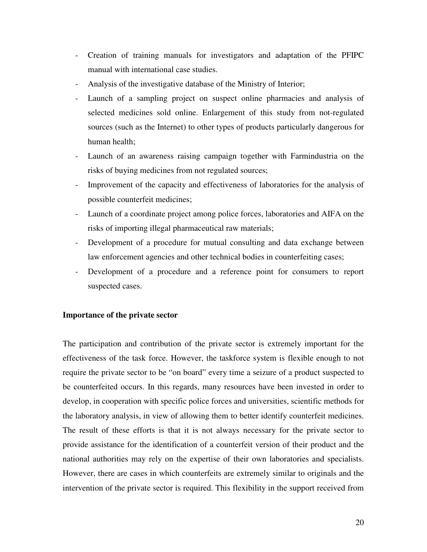- Creation of training manuals for investigators and adaptation of the PFIPC manual with international case studies.
- Analysis of the investigative database of the Ministry of Interior;
- Launch of a sampling project on suspect online pharmacies and analysis of selected medicines sold online. Enlargement of this study from not-regulated sources (such as the Internet) to other types of products particularly dangerous for human health;
- Launch of an awareness raising campaign together with Farmindustria on the risks of buying medicines from not regulated sources;
- Improvement of the capacity and effectiveness of laboratories for the analysis of possible counterfeit medicines;
- Launch of a coordinate project among police forces, laboratories and AIFA on the risks of importing illegal pharmaceutical raw materials;
- Development of a procedure for mutual consulting and data exchange between law enforcement agencies and other technical bodies in counterfeiting cases;
- Development of a procedure and a reference point for consumers to report suspected cases.

# **Importance of the private sector**

The participation and contribution of the private sector is extremely important for the effectiveness of the task force. However, the taskforce system is flexible enough to not require the private sector to be "on board" every time a seizure of a product suspected to be counterfeited occurs. In this regards, many resources have been invested in order to develop, in cooperation with specific police forces and universities, scientific methods for the laboratory analysis, in view of allowing them to better identify counterfeit medicines. The result of these efforts is that it is not always necessary for the private sector to provide assistance for the identification of a counterfeit version of their product and the national authorities may rely on the expertise of their own laboratories and specialists. However, there are cases in which counterfeits are extremely similar to originals and the intervention of the private sector is required. This flexibility in the support received from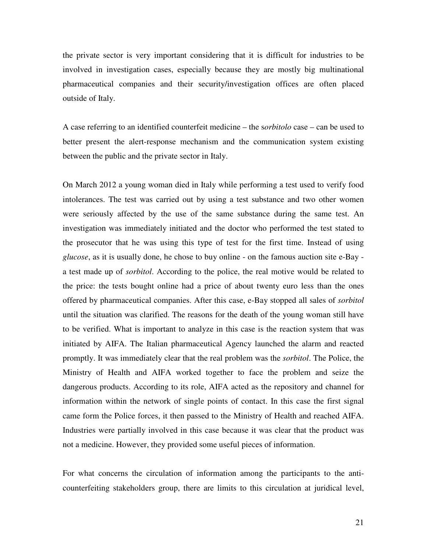the private sector is very important considering that it is difficult for industries to be involved in investigation cases, especially because they are mostly big multinational pharmaceutical companies and their security/investigation offices are often placed outside of Italy.

A case referring to an identified counterfeit medicine – the s*orbitolo* case – can be used to better present the alert-response mechanism and the communication system existing between the public and the private sector in Italy.

On March 2012 a young woman died in Italy while performing a test used to verify food intolerances. The test was carried out by using a test substance and two other women were seriously affected by the use of the same substance during the same test. An investigation was immediately initiated and the doctor who performed the test stated to the prosecutor that he was using this type of test for the first time. Instead of using *glucose*, as it is usually done, he chose to buy online - on the famous auction site e-Bay a test made up of *sorbitol*. According to the police, the real motive would be related to the price: the tests bought online had a price of about twenty euro less than the ones offered by pharmaceutical companies. After this case, e-Bay stopped all sales of *sorbitol* until the situation was clarified. The reasons for the death of the young woman still have to be verified. What is important to analyze in this case is the reaction system that was initiated by AIFA. The Italian pharmaceutical Agency launched the alarm and reacted promptly. It was immediately clear that the real problem was the *sorbitol*. The Police, the Ministry of Health and AIFA worked together to face the problem and seize the dangerous products. According to its role, AIFA acted as the repository and channel for information within the network of single points of contact. In this case the first signal came form the Police forces, it then passed to the Ministry of Health and reached AIFA. Industries were partially involved in this case because it was clear that the product was not a medicine. However, they provided some useful pieces of information.

For what concerns the circulation of information among the participants to the anticounterfeiting stakeholders group, there are limits to this circulation at juridical level,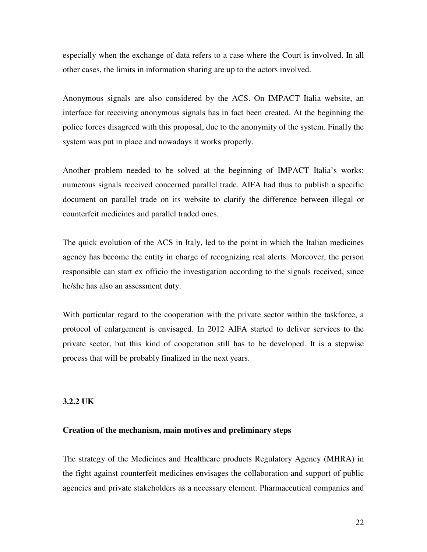especially when the exchange of data refers to a case where the Court is involved. In all other cases, the limits in information sharing are up to the actors involved.

Anonymous signals are also considered by the ACS. On IMPACT Italia website, an interface for receiving anonymous signals has in fact been created. At the beginning the police forces disagreed with this proposal, due to the anonymity of the system. Finally the system was put in place and nowadays it works properly.

Another problem needed to be solved at the beginning of IMPACT Italia's works: numerous signals received concerned parallel trade. AIFA had thus to publish a specific document on parallel trade on its website to clarify the difference between illegal or counterfeit medicines and parallel traded ones.

The quick evolution of the ACS in Italy, led to the point in which the Italian medicines agency has become the entity in charge of recognizing real alerts. Moreover, the person responsible can start ex officio the investigation according to the signals received, since he/she has also an assessment duty.

With particular regard to the cooperation with the private sector within the taskforce, a protocol of enlargement is envisaged. In 2012 AIFA started to deliver services to the private sector, but this kind of cooperation still has to be developed. It is a stepwise process that will be probably finalized in the next years.

#### **3.2.2 UK**

#### **Creation of the mechanism, main motives and preliminary steps**

The strategy of the Medicines and Healthcare products Regulatory Agency (MHRA) in the fight against counterfeit medicines envisages the collaboration and support of public agencies and private stakeholders as a necessary element. Pharmaceutical companies and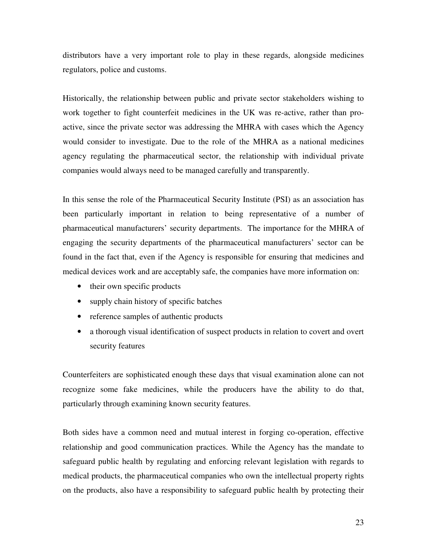distributors have a very important role to play in these regards, alongside medicines regulators, police and customs.

Historically, the relationship between public and private sector stakeholders wishing to work together to fight counterfeit medicines in the UK was re-active, rather than proactive, since the private sector was addressing the MHRA with cases which the Agency would consider to investigate. Due to the role of the MHRA as a national medicines agency regulating the pharmaceutical sector, the relationship with individual private companies would always need to be managed carefully and transparently.

In this sense the role of the Pharmaceutical Security Institute (PSI) as an association has been particularly important in relation to being representative of a number of pharmaceutical manufacturers' security departments. The importance for the MHRA of engaging the security departments of the pharmaceutical manufacturers' sector can be found in the fact that, even if the Agency is responsible for ensuring that medicines and medical devices work and are acceptably safe, the companies have more information on:

- their own specific products
- supply chain history of specific batches
- reference samples of authentic products
- a thorough visual identification of suspect products in relation to covert and overt security features

Counterfeiters are sophisticated enough these days that visual examination alone can not recognize some fake medicines, while the producers have the ability to do that, particularly through examining known security features.

Both sides have a common need and mutual interest in forging co-operation, effective relationship and good communication practices. While the Agency has the mandate to safeguard public health by regulating and enforcing relevant legislation with regards to medical products, the pharmaceutical companies who own the intellectual property rights on the products, also have a responsibility to safeguard public health by protecting their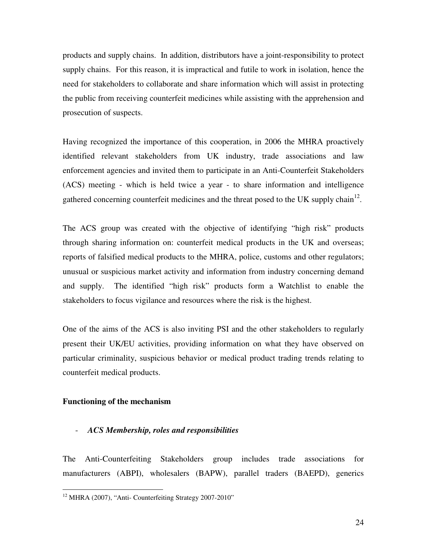products and supply chains. In addition, distributors have a joint-responsibility to protect supply chains. For this reason, it is impractical and futile to work in isolation, hence the need for stakeholders to collaborate and share information which will assist in protecting the public from receiving counterfeit medicines while assisting with the apprehension and prosecution of suspects.

Having recognized the importance of this cooperation, in 2006 the MHRA proactively identified relevant stakeholders from UK industry, trade associations and law enforcement agencies and invited them to participate in an Anti-Counterfeit Stakeholders (ACS) meeting - which is held twice a year - to share information and intelligence gathered concerning counterfeit medicines and the threat posed to the UK supply chain<sup>12</sup>.

The ACS group was created with the objective of identifying "high risk" products through sharing information on: counterfeit medical products in the UK and overseas; reports of falsified medical products to the MHRA, police, customs and other regulators; unusual or suspicious market activity and information from industry concerning demand and supply. The identified "high risk" products form a Watchlist to enable the stakeholders to focus vigilance and resources where the risk is the highest.

One of the aims of the ACS is also inviting PSI and the other stakeholders to regularly present their UK/EU activities, providing information on what they have observed on particular criminality, suspicious behavior or medical product trading trends relating to counterfeit medical products.

#### **Functioning of the mechanism**

l

#### - *ACS Membership, roles and responsibilities*

The Anti-Counterfeiting Stakeholders group includes trade associations for manufacturers (ABPI), wholesalers (BAPW), parallel traders (BAEPD), generics

<sup>&</sup>lt;sup>12</sup> MHRA (2007), "Anti- Counterfeiting Strategy 2007-2010"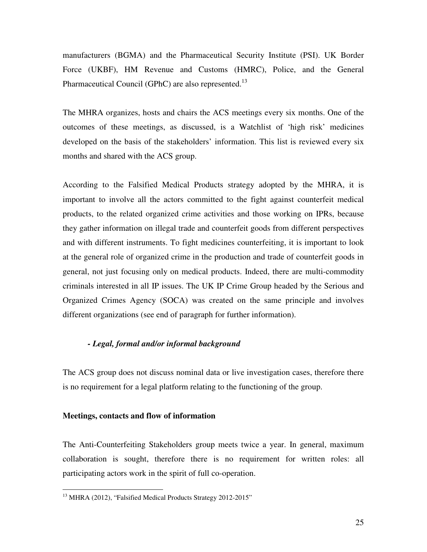manufacturers (BGMA) and the Pharmaceutical Security Institute (PSI). UK Border Force (UKBF), HM Revenue and Customs (HMRC), Police, and the General Pharmaceutical Council (GPhC) are also represented.<sup>13</sup>

The MHRA organizes, hosts and chairs the ACS meetings every six months. One of the outcomes of these meetings, as discussed, is a Watchlist of 'high risk' medicines developed on the basis of the stakeholders' information. This list is reviewed every six months and shared with the ACS group.

According to the Falsified Medical Products strategy adopted by the MHRA, it is important to involve all the actors committed to the fight against counterfeit medical products, to the related organized crime activities and those working on IPRs, because they gather information on illegal trade and counterfeit goods from different perspectives and with different instruments. To fight medicines counterfeiting, it is important to look at the general role of organized crime in the production and trade of counterfeit goods in general, not just focusing only on medical products. Indeed, there are multi-commodity criminals interested in all IP issues. The UK IP Crime Group headed by the Serious and Organized Crimes Agency (SOCA) was created on the same principle and involves different organizations (see end of paragraph for further information).

## *- Legal, formal and/or informal background*

The ACS group does not discuss nominal data or live investigation cases, therefore there is no requirement for a legal platform relating to the functioning of the group.

#### **Meetings, contacts and flow of information**

l

The Anti-Counterfeiting Stakeholders group meets twice a year. In general, maximum collaboration is sought, therefore there is no requirement for written roles: all participating actors work in the spirit of full co-operation.

<sup>&</sup>lt;sup>13</sup> MHRA (2012), "Falsified Medical Products Strategy 2012-2015"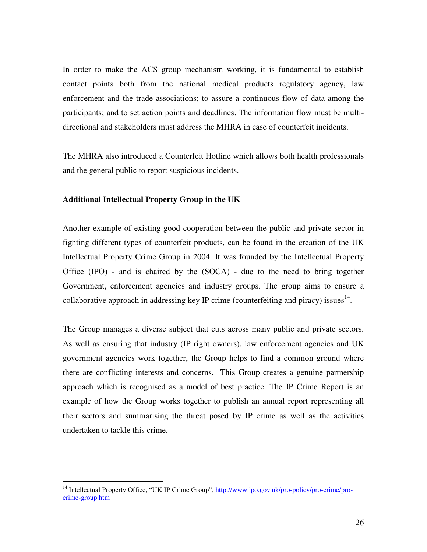In order to make the ACS group mechanism working, it is fundamental to establish contact points both from the national medical products regulatory agency, law enforcement and the trade associations; to assure a continuous flow of data among the participants; and to set action points and deadlines. The information flow must be multidirectional and stakeholders must address the MHRA in case of counterfeit incidents.

The MHRA also introduced a Counterfeit Hotline which allows both health professionals and the general public to report suspicious incidents.

# **Additional Intellectual Property Group in the UK**

 $\overline{a}$ 

Another example of existing good cooperation between the public and private sector in fighting different types of counterfeit products, can be found in the creation of the UK Intellectual Property Crime Group in 2004. It was founded by the Intellectual Property Office (IPO) - and is chaired by the (SOCA) - due to the need to bring together Government, enforcement agencies and industry groups. The group aims to ensure a collaborative approach in addressing key IP crime (counterfeiting and piracy) issues  $14$ .

The Group manages a diverse subject that cuts across many public and private sectors. As well as ensuring that industry (IP right owners), law enforcement agencies and UK government agencies work together, the Group helps to find a common ground where there are conflicting interests and concerns. This Group creates a genuine partnership approach which is recognised as a model of best practice. The IP Crime Report is an example of how the Group works together to publish an annual report representing all their sectors and summarising the threat posed by IP crime as well as the activities undertaken to tackle this crime.

<sup>&</sup>lt;sup>14</sup> Intellectual Property Office, "UK IP Crime Group", http://www.ipo.gov.uk/pro-policy/pro-crime/procrime-group.htm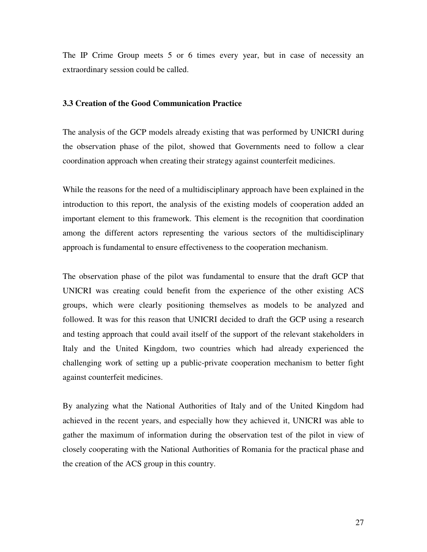The IP Crime Group meets 5 or 6 times every year, but in case of necessity an extraordinary session could be called.

### **3.3 Creation of the Good Communication Practice**

The analysis of the GCP models already existing that was performed by UNICRI during the observation phase of the pilot, showed that Governments need to follow a clear coordination approach when creating their strategy against counterfeit medicines.

While the reasons for the need of a multidisciplinary approach have been explained in the introduction to this report, the analysis of the existing models of cooperation added an important element to this framework. This element is the recognition that coordination among the different actors representing the various sectors of the multidisciplinary approach is fundamental to ensure effectiveness to the cooperation mechanism.

The observation phase of the pilot was fundamental to ensure that the draft GCP that UNICRI was creating could benefit from the experience of the other existing ACS groups, which were clearly positioning themselves as models to be analyzed and followed. It was for this reason that UNICRI decided to draft the GCP using a research and testing approach that could avail itself of the support of the relevant stakeholders in Italy and the United Kingdom, two countries which had already experienced the challenging work of setting up a public-private cooperation mechanism to better fight against counterfeit medicines.

By analyzing what the National Authorities of Italy and of the United Kingdom had achieved in the recent years, and especially how they achieved it, UNICRI was able to gather the maximum of information during the observation test of the pilot in view of closely cooperating with the National Authorities of Romania for the practical phase and the creation of the ACS group in this country.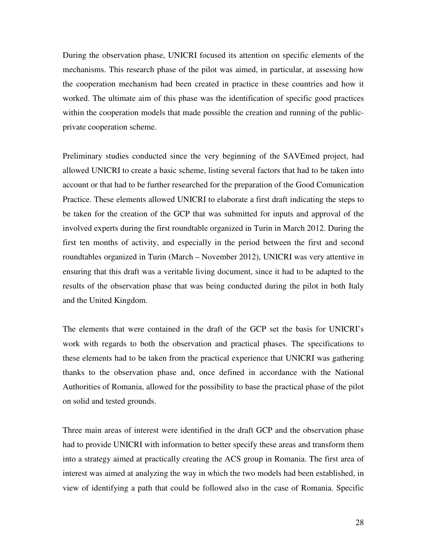During the observation phase, UNICRI focused its attention on specific elements of the mechanisms. This research phase of the pilot was aimed, in particular, at assessing how the cooperation mechanism had been created in practice in these countries and how it worked. The ultimate aim of this phase was the identification of specific good practices within the cooperation models that made possible the creation and running of the publicprivate cooperation scheme.

Preliminary studies conducted since the very beginning of the SAVEmed project, had allowed UNICRI to create a basic scheme, listing several factors that had to be taken into account or that had to be further researched for the preparation of the Good Comunication Practice. These elements allowed UNICRI to elaborate a first draft indicating the steps to be taken for the creation of the GCP that was submitted for inputs and approval of the involved experts during the first roundtable organized in Turin in March 2012. During the first ten months of activity, and especially in the period between the first and second roundtables organized in Turin (March – November 2012), UNICRI was very attentive in ensuring that this draft was a veritable living document, since it had to be adapted to the results of the observation phase that was being conducted during the pilot in both Italy and the United Kingdom.

The elements that were contained in the draft of the GCP set the basis for UNICRI's work with regards to both the observation and practical phases. The specifications to these elements had to be taken from the practical experience that UNICRI was gathering thanks to the observation phase and, once defined in accordance with the National Authorities of Romania, allowed for the possibility to base the practical phase of the pilot on solid and tested grounds.

Three main areas of interest were identified in the draft GCP and the observation phase had to provide UNICRI with information to better specify these areas and transform them into a strategy aimed at practically creating the ACS group in Romania. The first area of interest was aimed at analyzing the way in which the two models had been established, in view of identifying a path that could be followed also in the case of Romania. Specific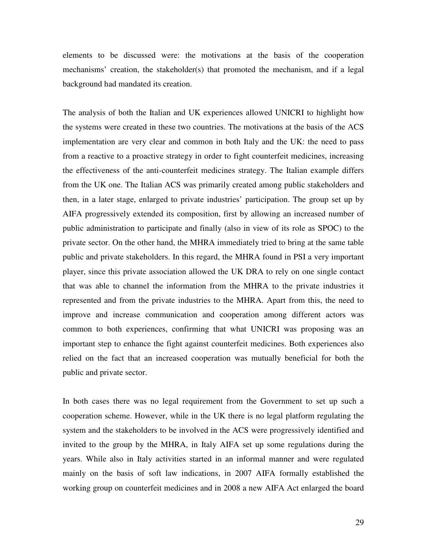elements to be discussed were: the motivations at the basis of the cooperation mechanisms' creation, the stakeholder(s) that promoted the mechanism, and if a legal background had mandated its creation.

The analysis of both the Italian and UK experiences allowed UNICRI to highlight how the systems were created in these two countries. The motivations at the basis of the ACS implementation are very clear and common in both Italy and the UK: the need to pass from a reactive to a proactive strategy in order to fight counterfeit medicines, increasing the effectiveness of the anti-counterfeit medicines strategy. The Italian example differs from the UK one. The Italian ACS was primarily created among public stakeholders and then, in a later stage, enlarged to private industries' participation. The group set up by AIFA progressively extended its composition, first by allowing an increased number of public administration to participate and finally (also in view of its role as SPOC) to the private sector. On the other hand, the MHRA immediately tried to bring at the same table public and private stakeholders. In this regard, the MHRA found in PSI a very important player, since this private association allowed the UK DRA to rely on one single contact that was able to channel the information from the MHRA to the private industries it represented and from the private industries to the MHRA. Apart from this, the need to improve and increase communication and cooperation among different actors was common to both experiences, confirming that what UNICRI was proposing was an important step to enhance the fight against counterfeit medicines. Both experiences also relied on the fact that an increased cooperation was mutually beneficial for both the public and private sector.

In both cases there was no legal requirement from the Government to set up such a cooperation scheme. However, while in the UK there is no legal platform regulating the system and the stakeholders to be involved in the ACS were progressively identified and invited to the group by the MHRA, in Italy AIFA set up some regulations during the years. While also in Italy activities started in an informal manner and were regulated mainly on the basis of soft law indications, in 2007 AIFA formally established the working group on counterfeit medicines and in 2008 a new AIFA Act enlarged the board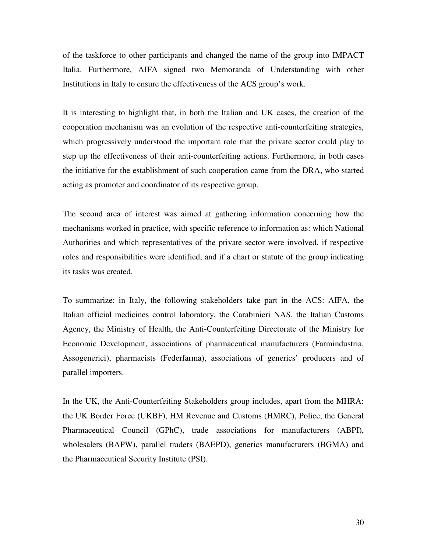of the taskforce to other participants and changed the name of the group into IMPACT Italia. Furthermore, AIFA signed two Memoranda of Understanding with other Institutions in Italy to ensure the effectiveness of the ACS group's work.

It is interesting to highlight that, in both the Italian and UK cases, the creation of the cooperation mechanism was an evolution of the respective anti-counterfeiting strategies, which progressively understood the important role that the private sector could play to step up the effectiveness of their anti-counterfeiting actions. Furthermore, in both cases the initiative for the establishment of such cooperation came from the DRA, who started acting as promoter and coordinator of its respective group.

The second area of interest was aimed at gathering information concerning how the mechanisms worked in practice, with specific reference to information as: which National Authorities and which representatives of the private sector were involved, if respective roles and responsibilities were identified, and if a chart or statute of the group indicating its tasks was created.

To summarize: in Italy, the following stakeholders take part in the ACS: AIFA, the Italian official medicines control laboratory, the Carabinieri NAS, the Italian Customs Agency, the Ministry of Health, the Anti-Counterfeiting Directorate of the Ministry for Economic Development, associations of pharmaceutical manufacturers (Farmindustria, Assogenerici), pharmacists (Federfarma), associations of generics' producers and of parallel importers.

In the UK, the Anti-Counterfeiting Stakeholders group includes, apart from the MHRA: the UK Border Force (UKBF), HM Revenue and Customs (HMRC), Police, the General Pharmaceutical Council (GPhC), trade associations for manufacturers (ABPI), wholesalers (BAPW), parallel traders (BAEPD), generics manufacturers (BGMA) and the Pharmaceutical Security Institute (PSI).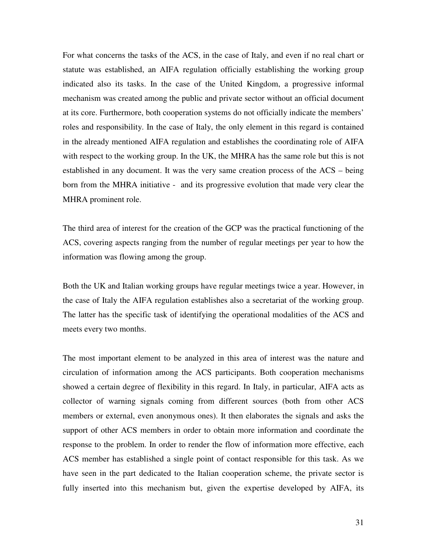For what concerns the tasks of the ACS, in the case of Italy, and even if no real chart or statute was established, an AIFA regulation officially establishing the working group indicated also its tasks. In the case of the United Kingdom, a progressive informal mechanism was created among the public and private sector without an official document at its core. Furthermore, both cooperation systems do not officially indicate the members' roles and responsibility. In the case of Italy, the only element in this regard is contained in the already mentioned AIFA regulation and establishes the coordinating role of AIFA with respect to the working group. In the UK, the MHRA has the same role but this is not established in any document. It was the very same creation process of the ACS – being born from the MHRA initiative - and its progressive evolution that made very clear the MHRA prominent role.

The third area of interest for the creation of the GCP was the practical functioning of the ACS, covering aspects ranging from the number of regular meetings per year to how the information was flowing among the group.

Both the UK and Italian working groups have regular meetings twice a year. However, in the case of Italy the AIFA regulation establishes also a secretariat of the working group. The latter has the specific task of identifying the operational modalities of the ACS and meets every two months.

The most important element to be analyzed in this area of interest was the nature and circulation of information among the ACS participants. Both cooperation mechanisms showed a certain degree of flexibility in this regard. In Italy, in particular, AIFA acts as collector of warning signals coming from different sources (both from other ACS members or external, even anonymous ones). It then elaborates the signals and asks the support of other ACS members in order to obtain more information and coordinate the response to the problem. In order to render the flow of information more effective, each ACS member has established a single point of contact responsible for this task. As we have seen in the part dedicated to the Italian cooperation scheme, the private sector is fully inserted into this mechanism but, given the expertise developed by AIFA, its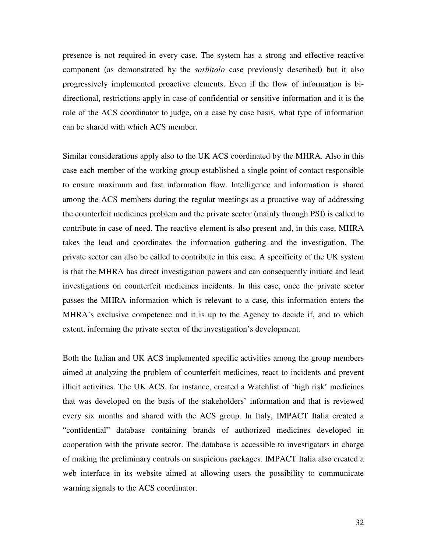presence is not required in every case. The system has a strong and effective reactive component (as demonstrated by the *sorbitolo* case previously described) but it also progressively implemented proactive elements. Even if the flow of information is bidirectional, restrictions apply in case of confidential or sensitive information and it is the role of the ACS coordinator to judge, on a case by case basis, what type of information can be shared with which ACS member.

Similar considerations apply also to the UK ACS coordinated by the MHRA. Also in this case each member of the working group established a single point of contact responsible to ensure maximum and fast information flow. Intelligence and information is shared among the ACS members during the regular meetings as a proactive way of addressing the counterfeit medicines problem and the private sector (mainly through PSI) is called to contribute in case of need. The reactive element is also present and, in this case, MHRA takes the lead and coordinates the information gathering and the investigation. The private sector can also be called to contribute in this case. A specificity of the UK system is that the MHRA has direct investigation powers and can consequently initiate and lead investigations on counterfeit medicines incidents. In this case, once the private sector passes the MHRA information which is relevant to a case, this information enters the MHRA's exclusive competence and it is up to the Agency to decide if, and to which extent, informing the private sector of the investigation's development.

Both the Italian and UK ACS implemented specific activities among the group members aimed at analyzing the problem of counterfeit medicines, react to incidents and prevent illicit activities. The UK ACS, for instance, created a Watchlist of 'high risk' medicines that was developed on the basis of the stakeholders' information and that is reviewed every six months and shared with the ACS group. In Italy, IMPACT Italia created a "confidential" database containing brands of authorized medicines developed in cooperation with the private sector. The database is accessible to investigators in charge of making the preliminary controls on suspicious packages. IMPACT Italia also created a web interface in its website aimed at allowing users the possibility to communicate warning signals to the ACS coordinator.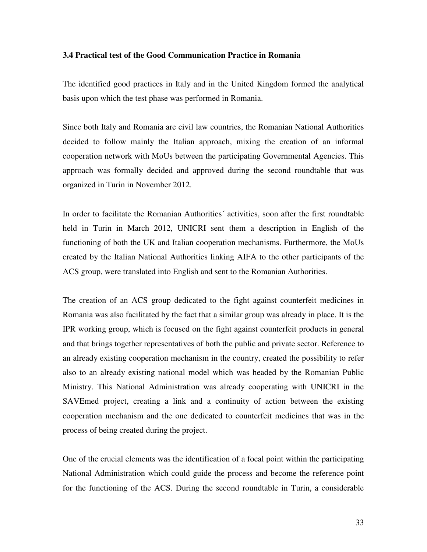#### **3.4 Practical test of the Good Communication Practice in Romania**

The identified good practices in Italy and in the United Kingdom formed the analytical basis upon which the test phase was performed in Romania.

Since both Italy and Romania are civil law countries, the Romanian National Authorities decided to follow mainly the Italian approach, mixing the creation of an informal cooperation network with MoUs between the participating Governmental Agencies. This approach was formally decided and approved during the second roundtable that was organized in Turin in November 2012.

In order to facilitate the Romanian Authorities´ activities, soon after the first roundtable held in Turin in March 2012, UNICRI sent them a description in English of the functioning of both the UK and Italian cooperation mechanisms. Furthermore, the MoUs created by the Italian National Authorities linking AIFA to the other participants of the ACS group, were translated into English and sent to the Romanian Authorities.

The creation of an ACS group dedicated to the fight against counterfeit medicines in Romania was also facilitated by the fact that a similar group was already in place. It is the IPR working group, which is focused on the fight against counterfeit products in general and that brings together representatives of both the public and private sector. Reference to an already existing cooperation mechanism in the country, created the possibility to refer also to an already existing national model which was headed by the Romanian Public Ministry. This National Administration was already cooperating with UNICRI in the SAVEmed project, creating a link and a continuity of action between the existing cooperation mechanism and the one dedicated to counterfeit medicines that was in the process of being created during the project.

One of the crucial elements was the identification of a focal point within the participating National Administration which could guide the process and become the reference point for the functioning of the ACS. During the second roundtable in Turin, a considerable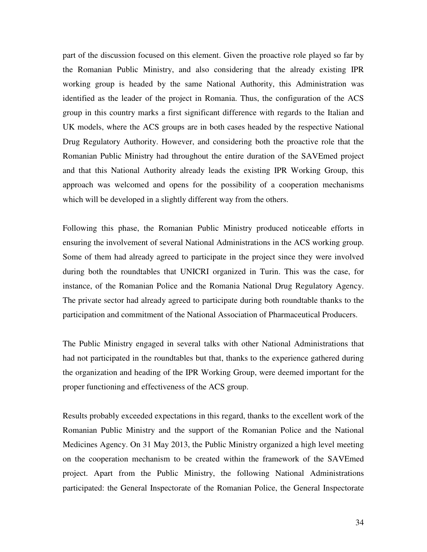part of the discussion focused on this element. Given the proactive role played so far by the Romanian Public Ministry, and also considering that the already existing IPR working group is headed by the same National Authority, this Administration was identified as the leader of the project in Romania. Thus, the configuration of the ACS group in this country marks a first significant difference with regards to the Italian and UK models, where the ACS groups are in both cases headed by the respective National Drug Regulatory Authority. However, and considering both the proactive role that the Romanian Public Ministry had throughout the entire duration of the SAVEmed project and that this National Authority already leads the existing IPR Working Group, this approach was welcomed and opens for the possibility of a cooperation mechanisms which will be developed in a slightly different way from the others.

Following this phase, the Romanian Public Ministry produced noticeable efforts in ensuring the involvement of several National Administrations in the ACS working group. Some of them had already agreed to participate in the project since they were involved during both the roundtables that UNICRI organized in Turin. This was the case, for instance, of the Romanian Police and the Romania National Drug Regulatory Agency. The private sector had already agreed to participate during both roundtable thanks to the participation and commitment of the National Association of Pharmaceutical Producers.

The Public Ministry engaged in several talks with other National Administrations that had not participated in the roundtables but that, thanks to the experience gathered during the organization and heading of the IPR Working Group, were deemed important for the proper functioning and effectiveness of the ACS group.

Results probably exceeded expectations in this regard, thanks to the excellent work of the Romanian Public Ministry and the support of the Romanian Police and the National Medicines Agency. On 31 May 2013, the Public Ministry organized a high level meeting on the cooperation mechanism to be created within the framework of the SAVEmed project. Apart from the Public Ministry, the following National Administrations participated: the General Inspectorate of the Romanian Police, the General Inspectorate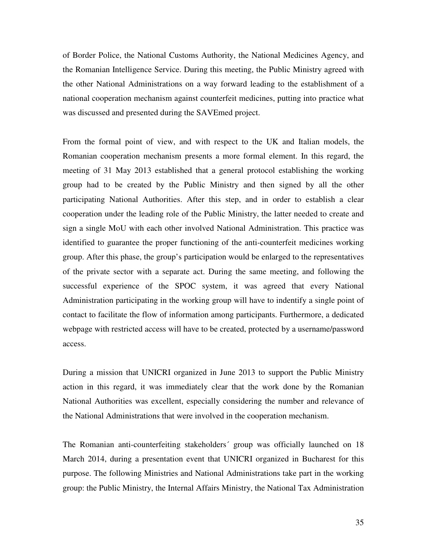of Border Police, the National Customs Authority, the National Medicines Agency, and the Romanian Intelligence Service. During this meeting, the Public Ministry agreed with the other National Administrations on a way forward leading to the establishment of a national cooperation mechanism against counterfeit medicines, putting into practice what was discussed and presented during the SAVEmed project.

From the formal point of view, and with respect to the UK and Italian models, the Romanian cooperation mechanism presents a more formal element. In this regard, the meeting of 31 May 2013 established that a general protocol establishing the working group had to be created by the Public Ministry and then signed by all the other participating National Authorities. After this step, and in order to establish a clear cooperation under the leading role of the Public Ministry, the latter needed to create and sign a single MoU with each other involved National Administration. This practice was identified to guarantee the proper functioning of the anti-counterfeit medicines working group. After this phase, the group's participation would be enlarged to the representatives of the private sector with a separate act. During the same meeting, and following the successful experience of the SPOC system, it was agreed that every National Administration participating in the working group will have to indentify a single point of contact to facilitate the flow of information among participants. Furthermore, a dedicated webpage with restricted access will have to be created, protected by a username/password access.

During a mission that UNICRI organized in June 2013 to support the Public Ministry action in this regard, it was immediately clear that the work done by the Romanian National Authorities was excellent, especially considering the number and relevance of the National Administrations that were involved in the cooperation mechanism.

The Romanian anti-counterfeiting stakeholders´ group was officially launched on 18 March 2014, during a presentation event that UNICRI organized in Bucharest for this purpose. The following Ministries and National Administrations take part in the working group: the Public Ministry, the Internal Affairs Ministry, the National Tax Administration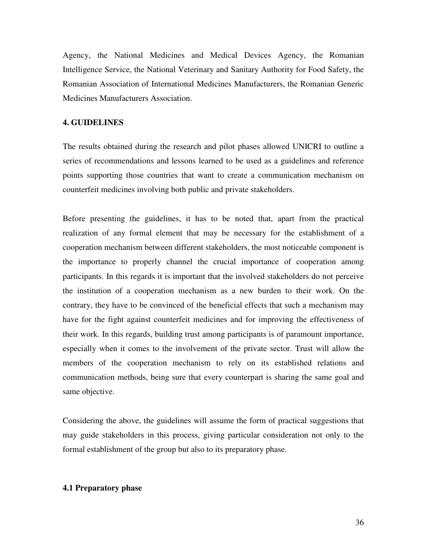Agency, the National Medicines and Medical Devices Agency, the Romanian Intelligence Service, the National Veterinary and Sanitary Authority for Food Safety, the Romanian Association of International Medicines Manufacturers, the Romanian Generic Medicines Manufacturers Association.

# **4. GUIDELINES**

The results obtained during the research and pilot phases allowed UNICRI to outline a series of recommendations and lessons learned to be used as a guidelines and reference points supporting those countries that want to create a communication mechanism on counterfeit medicines involving both public and private stakeholders.

Before presenting the guidelines, it has to be noted that, apart from the practical realization of any formal element that may be necessary for the establishment of a cooperation mechanism between different stakeholders, the most noticeable component is the importance to properly channel the crucial importance of cooperation among participants. In this regards it is important that the involved stakeholders do not perceive the institution of a cooperation mechanism as a new burden to their work. On the contrary, they have to be convinced of the beneficial effects that such a mechanism may have for the fight against counterfeit medicines and for improving the effectiveness of their work. In this regards, building trust among participants is of paramount importance, especially when it comes to the involvement of the private sector. Trust will allow the members of the cooperation mechanism to rely on its established relations and communication methods, being sure that every counterpart is sharing the same goal and same objective.

Considering the above, the guidelines will assume the form of practical suggestions that may guide stakeholders in this process, giving particular consideration not only to the formal establishment of the group but also to its preparatory phase.

# **4.1 Preparatory phase**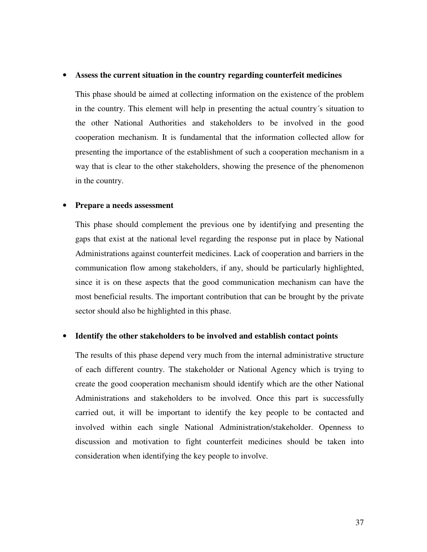#### • **Assess the current situation in the country regarding counterfeit medicines**

This phase should be aimed at collecting information on the existence of the problem in the country. This element will help in presenting the actual country´s situation to the other National Authorities and stakeholders to be involved in the good cooperation mechanism. It is fundamental that the information collected allow for presenting the importance of the establishment of such a cooperation mechanism in a way that is clear to the other stakeholders, showing the presence of the phenomenon in the country.

#### • **Prepare a needs assessment**

This phase should complement the previous one by identifying and presenting the gaps that exist at the national level regarding the response put in place by National Administrations against counterfeit medicines. Lack of cooperation and barriers in the communication flow among stakeholders, if any, should be particularly highlighted, since it is on these aspects that the good communication mechanism can have the most beneficial results. The important contribution that can be brought by the private sector should also be highlighted in this phase.

### • **Identify the other stakeholders to be involved and establish contact points**

The results of this phase depend very much from the internal administrative structure of each different country. The stakeholder or National Agency which is trying to create the good cooperation mechanism should identify which are the other National Administrations and stakeholders to be involved. Once this part is successfully carried out, it will be important to identify the key people to be contacted and involved within each single National Administration/stakeholder. Openness to discussion and motivation to fight counterfeit medicines should be taken into consideration when identifying the key people to involve.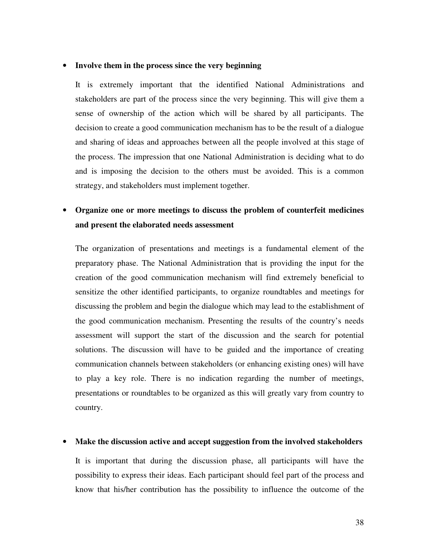#### • **Involve them in the process since the very beginning**

It is extremely important that the identified National Administrations and stakeholders are part of the process since the very beginning. This will give them a sense of ownership of the action which will be shared by all participants. The decision to create a good communication mechanism has to be the result of a dialogue and sharing of ideas and approaches between all the people involved at this stage of the process. The impression that one National Administration is deciding what to do and is imposing the decision to the others must be avoided. This is a common strategy, and stakeholders must implement together.

# • **Organize one or more meetings to discuss the problem of counterfeit medicines and present the elaborated needs assessment**

The organization of presentations and meetings is a fundamental element of the preparatory phase. The National Administration that is providing the input for the creation of the good communication mechanism will find extremely beneficial to sensitize the other identified participants, to organize roundtables and meetings for discussing the problem and begin the dialogue which may lead to the establishment of the good communication mechanism. Presenting the results of the country's needs assessment will support the start of the discussion and the search for potential solutions. The discussion will have to be guided and the importance of creating communication channels between stakeholders (or enhancing existing ones) will have to play a key role. There is no indication regarding the number of meetings, presentations or roundtables to be organized as this will greatly vary from country to country.

#### • **Make the discussion active and accept suggestion from the involved stakeholders**

It is important that during the discussion phase, all participants will have the possibility to express their ideas. Each participant should feel part of the process and know that his/her contribution has the possibility to influence the outcome of the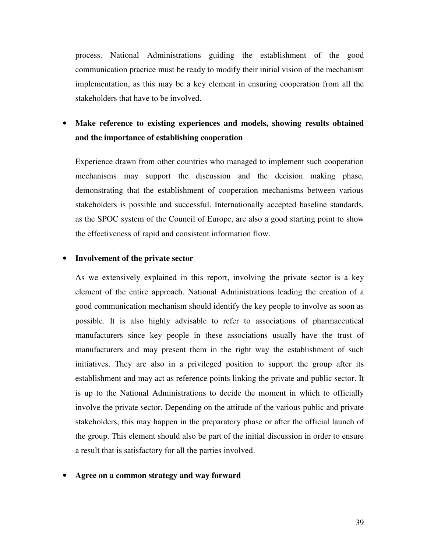process. National Administrations guiding the establishment of the good communication practice must be ready to modify their initial vision of the mechanism implementation, as this may be a key element in ensuring cooperation from all the stakeholders that have to be involved.

# • **Make reference to existing experiences and models, showing results obtained and the importance of establishing cooperation**

Experience drawn from other countries who managed to implement such cooperation mechanisms may support the discussion and the decision making phase, demonstrating that the establishment of cooperation mechanisms between various stakeholders is possible and successful. Internationally accepted baseline standards, as the SPOC system of the Council of Europe, are also a good starting point to show the effectiveness of rapid and consistent information flow.

### • **Involvement of the private sector**

As we extensively explained in this report, involving the private sector is a key element of the entire approach. National Administrations leading the creation of a good communication mechanism should identify the key people to involve as soon as possible. It is also highly advisable to refer to associations of pharmaceutical manufacturers since key people in these associations usually have the trust of manufacturers and may present them in the right way the establishment of such initiatives. They are also in a privileged position to support the group after its establishment and may act as reference points linking the private and public sector. It is up to the National Administrations to decide the moment in which to officially involve the private sector. Depending on the attitude of the various public and private stakeholders, this may happen in the preparatory phase or after the official launch of the group. This element should also be part of the initial discussion in order to ensure a result that is satisfactory for all the parties involved.

#### • **Agree on a common strategy and way forward**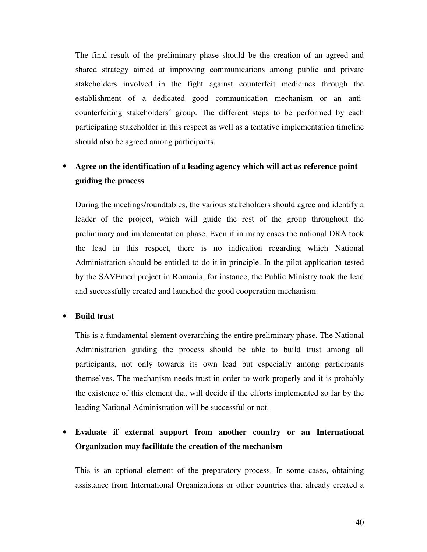The final result of the preliminary phase should be the creation of an agreed and shared strategy aimed at improving communications among public and private stakeholders involved in the fight against counterfeit medicines through the establishment of a dedicated good communication mechanism or an anticounterfeiting stakeholders´ group. The different steps to be performed by each participating stakeholder in this respect as well as a tentative implementation timeline should also be agreed among participants.

# • **Agree on the identification of a leading agency which will act as reference point guiding the process**

During the meetings/roundtables, the various stakeholders should agree and identify a leader of the project, which will guide the rest of the group throughout the preliminary and implementation phase. Even if in many cases the national DRA took the lead in this respect, there is no indication regarding which National Administration should be entitled to do it in principle. In the pilot application tested by the SAVEmed project in Romania, for instance, the Public Ministry took the lead and successfully created and launched the good cooperation mechanism.

### • **Build trust**

This is a fundamental element overarching the entire preliminary phase. The National Administration guiding the process should be able to build trust among all participants, not only towards its own lead but especially among participants themselves. The mechanism needs trust in order to work properly and it is probably the existence of this element that will decide if the efforts implemented so far by the leading National Administration will be successful or not.

# • **Evaluate if external support from another country or an International Organization may facilitate the creation of the mechanism**

This is an optional element of the preparatory process. In some cases, obtaining assistance from International Organizations or other countries that already created a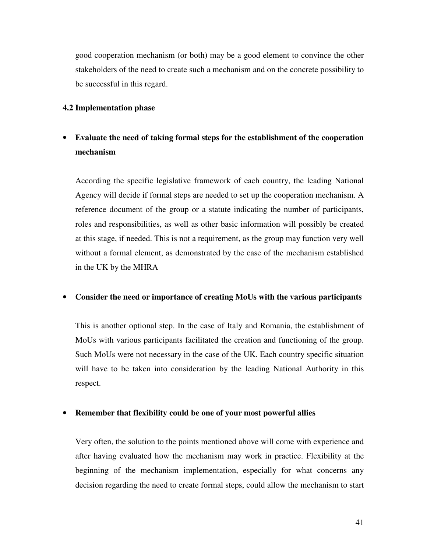good cooperation mechanism (or both) may be a good element to convince the other stakeholders of the need to create such a mechanism and on the concrete possibility to be successful in this regard.

### **4.2 Implementation phase**

# • **Evaluate the need of taking formal steps for the establishment of the cooperation mechanism**

According the specific legislative framework of each country, the leading National Agency will decide if formal steps are needed to set up the cooperation mechanism. A reference document of the group or a statute indicating the number of participants, roles and responsibilities, as well as other basic information will possibly be created at this stage, if needed. This is not a requirement, as the group may function very well without a formal element, as demonstrated by the case of the mechanism established in the UK by the MHRA

### • **Consider the need or importance of creating MoUs with the various participants**

This is another optional step. In the case of Italy and Romania, the establishment of MoUs with various participants facilitated the creation and functioning of the group. Such MoUs were not necessary in the case of the UK. Each country specific situation will have to be taken into consideration by the leading National Authority in this respect.

# • **Remember that flexibility could be one of your most powerful allies**

Very often, the solution to the points mentioned above will come with experience and after having evaluated how the mechanism may work in practice. Flexibility at the beginning of the mechanism implementation, especially for what concerns any decision regarding the need to create formal steps, could allow the mechanism to start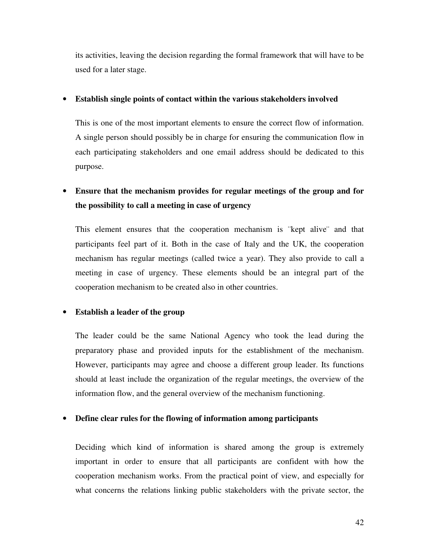its activities, leaving the decision regarding the formal framework that will have to be used for a later stage.

# • **Establish single points of contact within the various stakeholders involved**

This is one of the most important elements to ensure the correct flow of information. A single person should possibly be in charge for ensuring the communication flow in each participating stakeholders and one email address should be dedicated to this purpose.

# • **Ensure that the mechanism provides for regular meetings of the group and for the possibility to call a meeting in case of urgency**

This element ensures that the cooperation mechanism is ¨kept alive¨ and that participants feel part of it. Both in the case of Italy and the UK, the cooperation mechanism has regular meetings (called twice a year). They also provide to call a meeting in case of urgency. These elements should be an integral part of the cooperation mechanism to be created also in other countries.

# • **Establish a leader of the group**

The leader could be the same National Agency who took the lead during the preparatory phase and provided inputs for the establishment of the mechanism. However, participants may agree and choose a different group leader. Its functions should at least include the organization of the regular meetings, the overview of the information flow, and the general overview of the mechanism functioning.

### • **Define clear rules for the flowing of information among participants**

Deciding which kind of information is shared among the group is extremely important in order to ensure that all participants are confident with how the cooperation mechanism works. From the practical point of view, and especially for what concerns the relations linking public stakeholders with the private sector, the